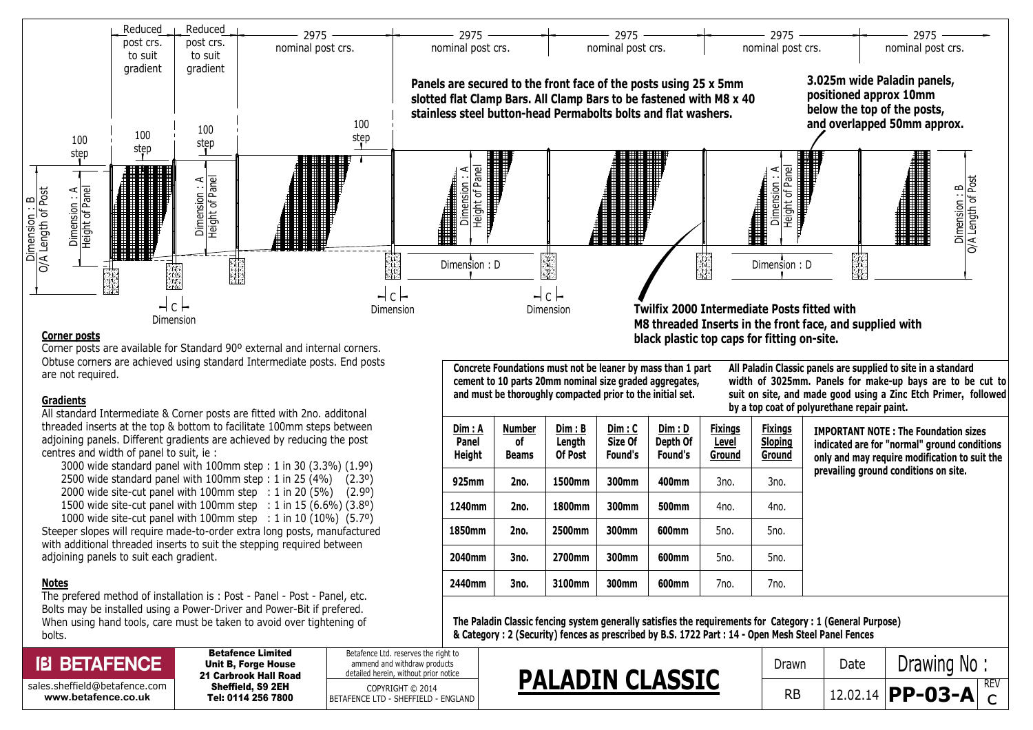

## Corner posts

Corner posts are available for Standard 90º external and internal corners. Obtuse corners are achieved using standard Intermediate posts. End posts are not required.

## **Gradients**

All standard Intermediate & Corner posts are fitted with 2no. additonal threaded inserts at the top & bottom to facilitate 100mm steps between adjoining panels. Different gradients are achieved by reducing the post centres and width of panel to suit, ie :

 3000 wide standard panel with 100mm step : 1 in 30 (3.3%) (1.9º) 2500 wide standard panel with 100mm step : 1 in 25  $(4%)$   $(2.3°)$  2000 wide site-cut panel with 100mm step : 1 in 20 (5%) (2.9º) 1500 wide site-cut panel with 100mm step : 1 in 15 (6.6%) (3.8º) 1000 wide site-cut panel with 100mm step : 1 in 10 (10%) (5.7º)

Steeper slopes will require made-to-order extra long posts, manufactured with additional threaded inserts to suit the stepping required between adjoining panels to suit each gradient.

## Notes

The prefered method of installation is : Post - Panel - Post - Panel, etc. Bolts may be installed using a Power-Driver and Power-Bit if prefered. When using hand tools, care must be taken to avoid over tightening of bolts.

## **IEI BETAFENCE**

The Paladin Classic fencing system generally satisfies the requirements for Category : 1 (General Purpose) & Category : 2 (Security) fences as prescribed by B.S. 1722 Part : 14 - Open Mesh Steel Panel Fences

| <b>IEI BETAFENCE</b>                                   | <b>Betafence Limited</b><br><b>Unit B. Forge House</b><br>21 Carbrook Hall Road<br>Sheffield, S9 2EH<br>Tel: 0114 256 7800 | Betafence Ltd. reserves the right to<br>ammend and withdraw products<br>detailed herein, without prior notice | <b>PALADIN CLASSIC</b> | Drawn     | Date | Drawing No           |
|--------------------------------------------------------|----------------------------------------------------------------------------------------------------------------------------|---------------------------------------------------------------------------------------------------------------|------------------------|-----------|------|----------------------|
| sales.sheffield@betafence.com  <br>www.betafence.co.uk |                                                                                                                            | COPYRIGHT © 2014<br>BETAFENCE LTD - SHEFFIELD - ENGLAND                                                       |                        | <b>RB</b> |      | 12.02.14 $ PP-03-A $ |

Concrete Foundations must not be leaner by mass than 1 part cement to 10 parts 20mm nominal size graded aggregates, and must be thoroughly compacted prior to the initial set.

All Paladin Classic panels are supplied to site in a standard width of 3025mm. Panels for make-up bays are to be cut to suit on site, and made good using a Zinc Etch Primer, followed by a top coat of polyurethane repair paint.

| Dim : A<br>Panel<br><b>Height</b> | <b>Number</b><br>٥f<br><b>Beams</b> | Dim: B<br>Length<br>Of Post | Dim: C<br>Size Of<br>Found's | Dim : D<br>Depth Of<br>Found's | <b>Fixings</b><br>Level<br>Ground | <b>Fixings</b><br><b>Sloping</b><br>Ground |
|-----------------------------------|-------------------------------------|-----------------------------|------------------------------|--------------------------------|-----------------------------------|--------------------------------------------|
| 925mm                             | 2no.                                | 1500mm                      | 300mm                        | 400mm                          | 3no.                              | 3no.                                       |
| 1240mm                            | 2no.                                | 1800mm                      | 300mm                        | 500mm                          | 4no.                              | 4no.                                       |
| 1850mm                            | 2no.                                | 2500mm                      | 300mm                        | 600mm                          | 5no.                              | 5no.                                       |
| 2040mm                            | 3no.                                | 2700mm                      | 300mm                        | 600mm                          | 5no.                              | 5no.                                       |
| 2440mm                            | 3no.                                | 3100mm                      | 300mm                        | 600mm                          | 7no.                              | 7no.                                       |

IMPORTANT NOTE : The Foundation sizes indicated are for "normal" ground conditions only and may require modification to suit the prevailing ground conditions on site.